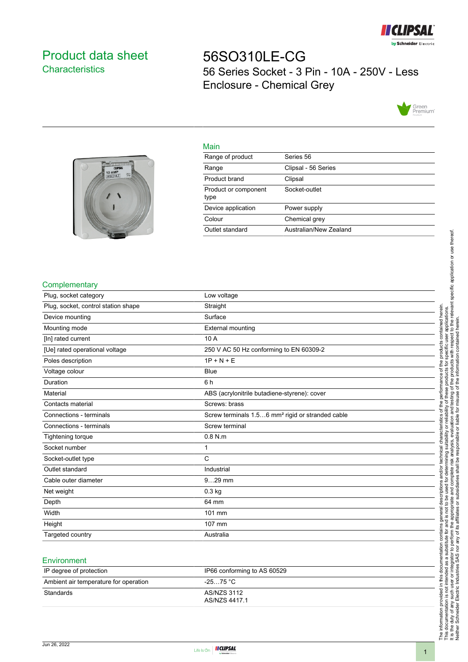

# <span id="page-0-0"></span>Product data sheet **Characteristics**

56SO310LE-CG 56 Series Socket - 3 Pin - 10A - 250V - Less Enclosure - Chemical Grey





| Main                         |                        |
|------------------------------|------------------------|
| Range of product             | Series 56              |
| Range                        | Clipsal - 56 Series    |
| Product brand                | Clipsal                |
| Product or component<br>type | Socket-outlet          |
| Device application           | Power supply           |
| Colour                       | Chemical grey          |
| Outlet standard              | Australian/New Zealand |

## **Complementary**

| Plug, socket category               | Low voltage                                                  |
|-------------------------------------|--------------------------------------------------------------|
| Plug, socket, control station shape | Straight                                                     |
| Device mounting                     | Surface                                                      |
| Mounting mode                       | <b>External mounting</b>                                     |
| [In] rated current                  | 10 A                                                         |
| [Ue] rated operational voltage      | 250 V AC 50 Hz conforming to EN 60309-2                      |
| Poles description                   | $1P + N + E$                                                 |
| Voltage colour                      | <b>Blue</b>                                                  |
| Duration                            | 6 h                                                          |
| Material                            | ABS (acrylonitrile butadiene-styrene): cover                 |
| Contacts material                   | Screws: brass                                                |
| Connections - terminals             | Screw terminals 1.56 mm <sup>2</sup> rigid or stranded cable |
| Connections - terminals             | Screw terminal                                               |
| <b>Tightening torque</b>            | $0.8$ N.m                                                    |
| Socket number                       | 1                                                            |
| Socket-outlet type                  | $\mathsf{C}$                                                 |
| Outlet standard                     | Industrial                                                   |
| Cable outer diameter                | $929$ mm                                                     |
| Net weight                          | $0.3$ kg                                                     |
| Depth                               | 64 mm                                                        |
| Width                               | 101 mm                                                       |
| Height                              | 107 mm                                                       |
| Targeted country                    | Australia                                                    |

## **Environment**

| IP degree of protection               | IP66 conforming to AS 60529  |
|---------------------------------------|------------------------------|
| Ambient air temperature for operation | -25…75 °C                    |
| Standards                             | AS/NZS 3112<br>AS/NZS 4417.1 |